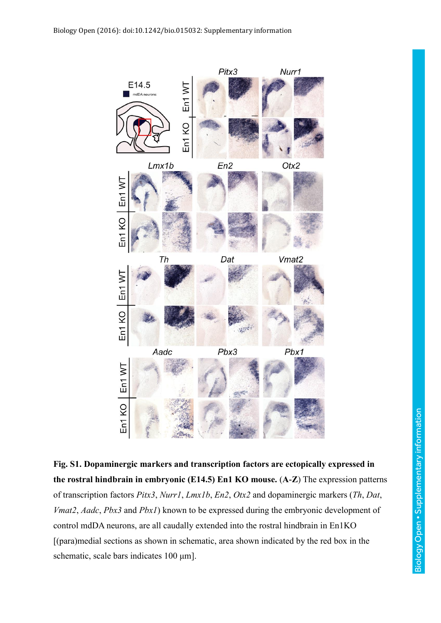

**Fig. S1. Dopaminergic markers and transcription factors are ectopically expressed in the rostral hindbrain in embryonic (E14.5) En1 KO mouse.** (**A-Z**) The expression patterns of transcription factors *Pitx3*, *Nurr1*, *Lmx1b*, *En2*, *Otx2* and dopaminergic markers (*Th*, *Dat*, *Vmat2*, *Aadc*, *Pbx3* and *Pbx1*) known to be expressed during the embryonic development of control mdDA neurons, are all caudally extended into the rostral hindbrain in En1KO [(para)medial sections as shown in schematic, area shown indicated by the red box in the schematic, scale bars indicates 100 μm].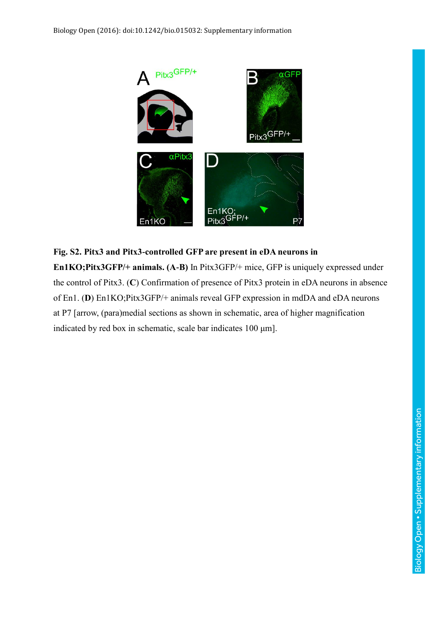

## **Fig. S2. Pitx3 and Pitx3-controlled GFP are present in eDA neurons in En1KO;Pitx3GFP/+ animals. (A-B)** In Pitx3GFP/+ mice, GFP is uniquely expressed under the control of Pitx3. (**C**) Confirmation of presence of Pitx3 protein in eDA neurons in absence of En1. (**D**) En1KO;Pitx3GFP/+ animals reveal GFP expression in mdDA and eDA neurons at P7 [arrow, (para)medial sections as shown in schematic, area of higher magnification

indicated by red box in schematic, scale bar indicates 100 μm].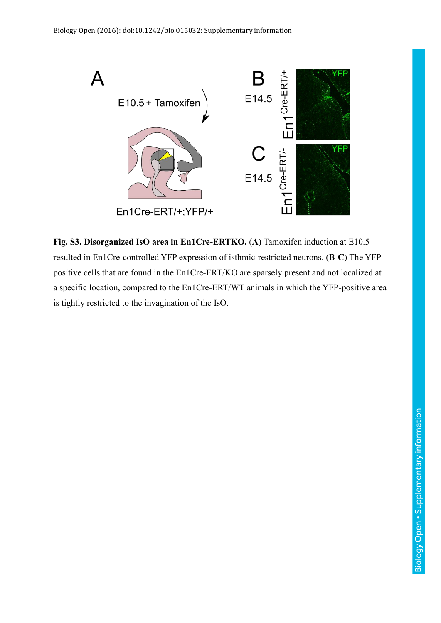

**Fig. S3. Disorganized IsO area in En1Cre-ERTKO.** (**A**) Tamoxifen induction at E10.5 resulted in En1Cre-controlled YFP expression of isthmic-restricted neurons. (**B-C**) The YFPpositive cells that are found in the En1Cre-ERT/KO are sparsely present and not localized at a specific location, compared to the En1Cre-ERT/WT animals in which the YFP-positive area is tightly restricted to the invagination of the IsO.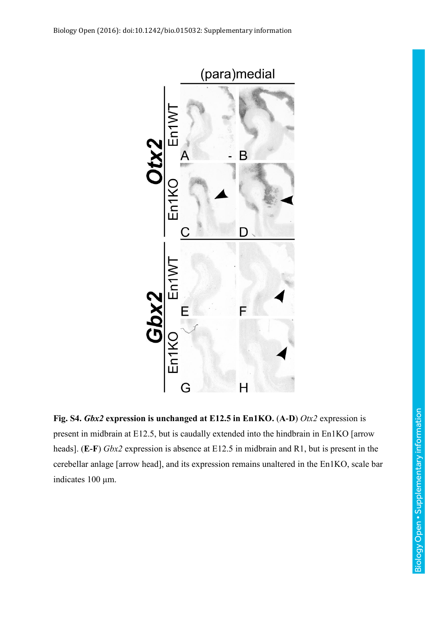

**Fig. S4.** *Gbx2* **expression is unchanged at E12.5 in En1KO.** (**A-D**) *Otx2* expression is present in midbrain at E12.5, but is caudally extended into the hindbrain in En1KO [arrow heads]. (**E-F**) *Gbx2* expression is absence at E12.5 in midbrain and R1, but is present in the cerebellar anlage [arrow head], and its expression remains unaltered in the En1KO, scale bar indicates 100 μm.